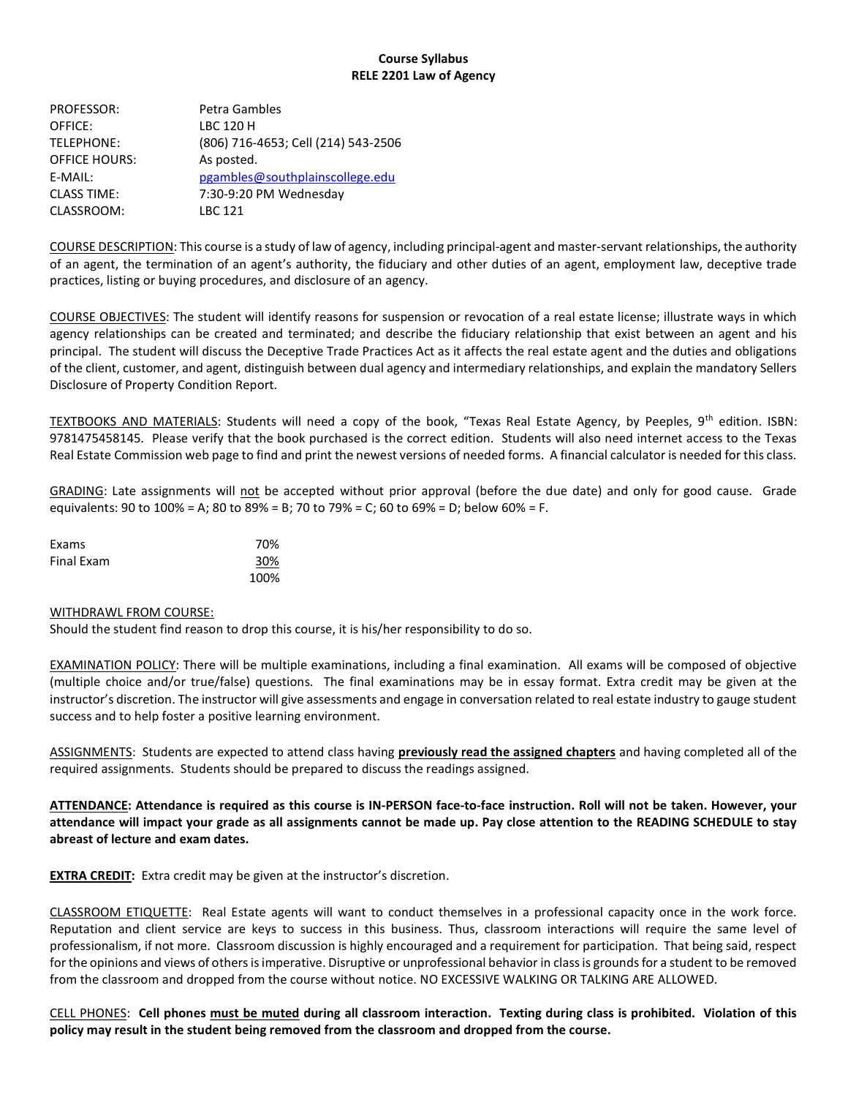# Course Syllabus RELE 2201 Law of Agency

| Petra Gambles                       |
|-------------------------------------|
| <b>LBC 120 H</b>                    |
| (806) 716-4653; Cell (214) 543-2506 |
| As posted.                          |
| pgambles@southplainscollege.edu     |
| 7:30-9:20 PM Wednesday              |
| LBC 121                             |
|                                     |

COURSE DESCRIPTION: This course is a study of law of agency, including principal-agent and master-servant relationships, the authority of an agent, the termination of an agent's authority, the fiduciary and other duties of an agent, employment law, deceptive trade practices, listing or buying procedures, and disclosure of an agency.

COURSE OBJECTIVES: The student will identify reasons for suspension or revocation of a real estate license; illustrate ways in which agency relationships can be created and terminated; and describe the fiduciary relationship that exist between an agent and his principal. The student will discuss the Deceptive Trade Practices Act as it affects the real estate agent and the duties and obligations of the client, customer, and agent, distinguish between dual agency and intermediary relationships, and explain the mandatory Sellers Disclosure of Property Condition Report.

TEXTBOOKS AND MATERIALS: Students will need a copy of the book, "Texas Real Estate Agency, by Peeples, 9<sup>th</sup> edition. ISBN: 9781475458145. Please verify that the book purchased is the correct edition. Students will also need internet access to the Texas Real Estate Commission web page to find and print the newest versions of needed forms. A financial calculator is needed for this class.

GRADING: Late assignments will not be accepted without prior approval (before the due date) and only for good cause. Grade equivalents: 90 to 100% = A; 80 to 89% = B; 70 to 79% = C; 60 to 69% = D; below 60% = F.

| Exams             | 70%  |
|-------------------|------|
| <b>Final Exam</b> | 30%  |
|                   | 100% |

#### WITHDRAWL FROM COURSE:

Should the student find reason to drop this course, it is his/her responsibility to do so.

EXAMINATION POLICY: There will be multiple examinations, including a final examination. All exams will be composed of objective (multiple choice and/or true/false) questions. The final examinations may be in essay format. Extra credit may be given at the instructor's discretion. The instructor will give assessments and engage in conversation related to real estate industry to gauge student success and to help foster a positive learning environment.

ASSIGNMENTS: Students are expected to attend class having previously read the assigned chapters and having completed all of the required assignments. Students should be prepared to discuss the readings assigned.

ATTENDANCE: Attendance is required as this course is IN-PERSON face-to-face instruction. Roll will not be taken. However, your attendance will impact your grade as all assignments cannot be made up. Pay close attention to the READING SCHEDULE to stay abreast of lecture and exam dates.

**EXTRA CREDIT:** Extra credit may be given at the instructor's discretion.

CLASSROOM ETIQUETTE: Real Estate agents will want to conduct themselves in a professional capacity once in the work force. Reputation and client service are keys to success in this business. Thus, classroom interactions will require the same level of professionalism, if not more. Classroom discussion is highly encouraged and a requirement for participation. That being said, respect for the opinions and views of others is imperative. Disruptive or unprofessional behavior in class is grounds for a student to be removed from the classroom and dropped from the course without notice. NO EXCESSIVE WALKING OR TALKING ARE ALLOWED.

CELL PHONES: Cell phones must be muted during all classroom interaction. Texting during class is prohibited. Violation of this policy may result in the student being removed from the classroom and dropped from the course.